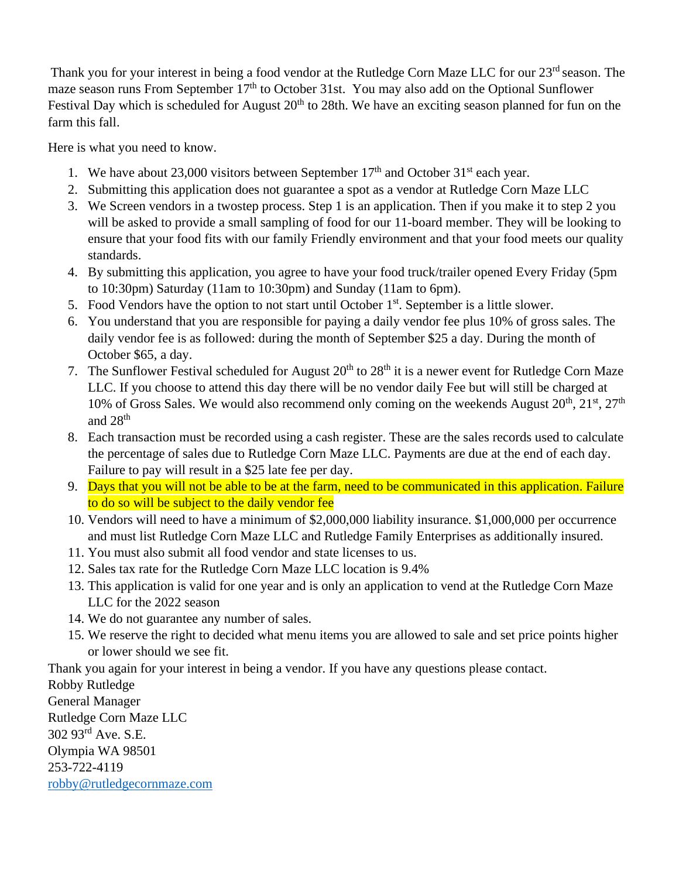Thank you for your interest in being a food vendor at the Rutledge Corn Maze LLC for our 23<sup>rd</sup> season. The maze season runs From September 17<sup>th</sup> to October 31st. You may also add on the Optional Sunflower Festival Day which is scheduled for August  $20<sup>th</sup>$  to 28th. We have an exciting season planned for fun on the farm this fall.

Here is what you need to know.

- 1. We have about 23,000 visitors between September  $17<sup>th</sup>$  and October 31<sup>st</sup> each year.
- 2. Submitting this application does not guarantee a spot as a vendor at Rutledge Corn Maze LLC
- 3. We Screen vendors in a twostep process. Step 1 is an application. Then if you make it to step 2 you will be asked to provide a small sampling of food for our 11-board member. They will be looking to ensure that your food fits with our family Friendly environment and that your food meets our quality standards.
- 4. By submitting this application, you agree to have your food truck/trailer opened Every Friday (5pm to 10:30pm) Saturday (11am to 10:30pm) and Sunday (11am to 6pm).
- 5. Food Vendors have the option to not start until October  $1<sup>st</sup>$ . September is a little slower.
- 6. You understand that you are responsible for paying a daily vendor fee plus 10% of gross sales. The daily vendor fee is as followed: during the month of September \$25 a day. During the month of October \$65, a day.
- 7. The Sunflower Festival scheduled for August  $20<sup>th</sup>$  to  $28<sup>th</sup>$  it is a newer event for Rutledge Corn Maze LLC. If you choose to attend this day there will be no vendor daily Fee but will still be charged at 10% of Gross Sales. We would also recommend only coming on the weekends August  $20^{th}$ ,  $21^{st}$ ,  $27^{th}$ and  $28<sup>th</sup>$
- 8. Each transaction must be recorded using a cash register. These are the sales records used to calculate the percentage of sales due to Rutledge Corn Maze LLC. Payments are due at the end of each day. Failure to pay will result in a \$25 late fee per day.
- 9. Days that you will not be able to be at the farm, need to be communicated in this application. Failure to do so will be subject to the daily vendor fee
- 10. Vendors will need to have a minimum of \$2,000,000 liability insurance. \$1,000,000 per occurrence and must list Rutledge Corn Maze LLC and Rutledge Family Enterprises as additionally insured.
- 11. You must also submit all food vendor and state licenses to us.
- 12. Sales tax rate for the Rutledge Corn Maze LLC location is 9.4%
- 13. This application is valid for one year and is only an application to vend at the Rutledge Corn Maze LLC for the 2022 season
- 14. We do not guarantee any number of sales.
- 15. We reserve the right to decided what menu items you are allowed to sale and set price points higher or lower should we see fit.

Thank you again for your interest in being a vendor. If you have any questions please contact.

Robby Rutledge General Manager Rutledge Corn Maze LLC 302 93rd Ave. S.E. Olympia WA 98501 253-722-4119 [robby@rutledgecornmaze.com](mailto:robby@rutledgecornmaze.com)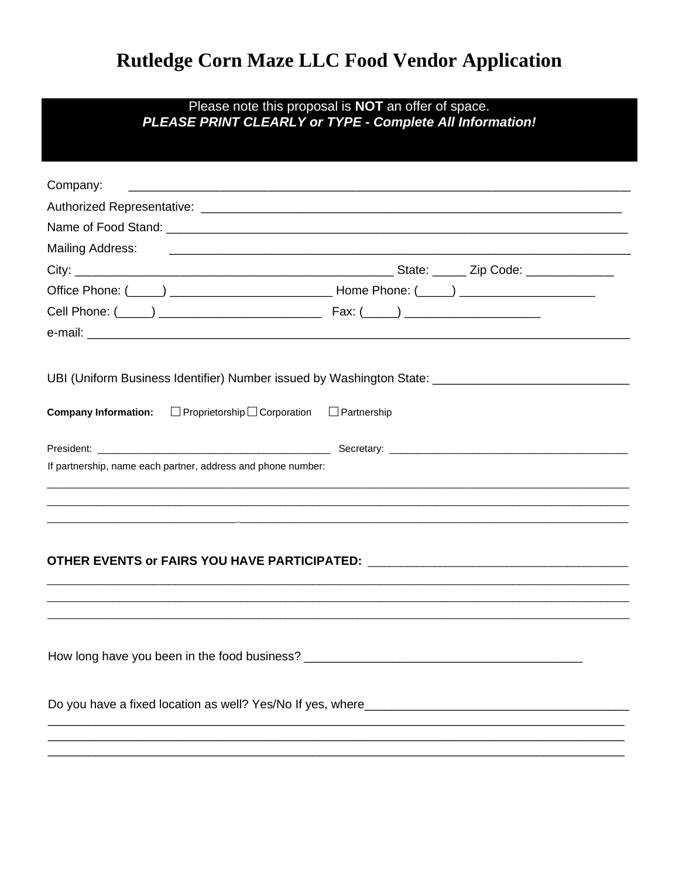## Rutledge Corn Maze LLC Food Vendor Application

# Please note this proposal is NOT an offer of space.<br>PLEASE PRINT CLEARLY or TYPE - Complete All Information!

| Company:                                                          |                                                                                                     |
|-------------------------------------------------------------------|-----------------------------------------------------------------------------------------------------|
|                                                                   |                                                                                                     |
|                                                                   |                                                                                                     |
|                                                                   |                                                                                                     |
|                                                                   |                                                                                                     |
|                                                                   |                                                                                                     |
|                                                                   |                                                                                                     |
|                                                                   |                                                                                                     |
| Company Information: □ Proprietorship □ Corporation □ Partnership | UBI (Uniform Business Identifier) Number issued by Washington State: ______________________________ |
|                                                                   |                                                                                                     |
| If partnership, name each partner, address and phone number:      |                                                                                                     |
|                                                                   | ,我们也不能会在这里,我们也不能会在这里,我们也不能会在这里,我们也不能会在这里,我们也不能会在这里,我们也不能会不能会不能会。""我们,我们也不能会不能会不能                    |
|                                                                   | OTHER EVENTS or FAIRS YOU HAVE PARTICIPATED: ___________________________________                    |
|                                                                   |                                                                                                     |
|                                                                   |                                                                                                     |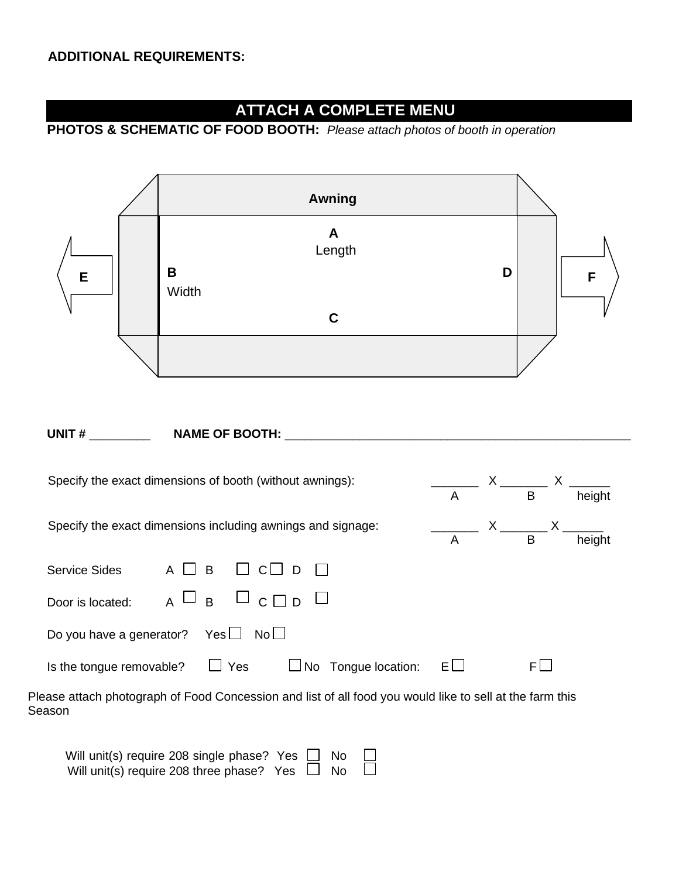### **ATTACH A COMPLETE MENU**

## **PHOTOS & SCHEMATIC OF FOOD BOOTH:** *Please attach photos of booth in operation*



#### **UNIT #** \_\_\_\_\_\_\_\_\_ **NAME OF BOOTH:** \_\_\_\_\_\_\_\_\_\_\_\_\_\_\_\_\_\_\_\_\_\_\_\_\_\_\_\_\_\_\_\_\_\_\_\_\_\_\_\_\_\_\_\_\_\_\_\_\_\_\_

| Specify the exact dimensions of booth (without awnings):                                                           | A    | $\mathsf{X}$ and $\mathsf{X}$ and $\mathsf{X}$ and $\mathsf{X}$ are $\mathsf{X}$ and $\mathsf{X}$ and $\mathsf{X}$ are $\mathsf{X}$ and $\mathsf{X}$ are $\mathsf{X}$ and $\mathsf{X}$ are $\mathsf{X}$ and $\mathsf{X}$ are $\mathsf{X}$ and $\mathsf{X}$ are $\mathsf{X}$ and $\mathsf{X}$ are | B    | height |  |  |  |  |
|--------------------------------------------------------------------------------------------------------------------|------|--------------------------------------------------------------------------------------------------------------------------------------------------------------------------------------------------------------------------------------------------------------------------------------------------|------|--------|--|--|--|--|
| Specify the exact dimensions including awnings and signage:                                                        | A    | $X \_$                                                                                                                                                                                                                                                                                           | B    | height |  |  |  |  |
| B<br>Service Sides                                                                                                 |      |                                                                                                                                                                                                                                                                                                  |      |        |  |  |  |  |
| $\sqcup$ c. $\sqcap$ n<br>$\overline{B}$<br>Door is located:                                                       |      |                                                                                                                                                                                                                                                                                                  |      |        |  |  |  |  |
| No <sub>1</sub><br>Do you have a generator?<br>$Yes \Box$                                                          |      |                                                                                                                                                                                                                                                                                                  |      |        |  |  |  |  |
| $\Box$ No Tongue location:<br>Yes<br>Is the tongue removable?                                                      | FI I |                                                                                                                                                                                                                                                                                                  | FI I |        |  |  |  |  |
| Please attach photograph of Food Concession and list of all food you would like to sell at the farm this<br>Season |      |                                                                                                                                                                                                                                                                                                  |      |        |  |  |  |  |

| Will unit(s) require 208 single phase? Yes $\Box$ No |  |  | $\sim 10$ |
|------------------------------------------------------|--|--|-----------|
| Will unit(s) require 208 three phase? Yes $\Box$ No  |  |  | $\Box$    |